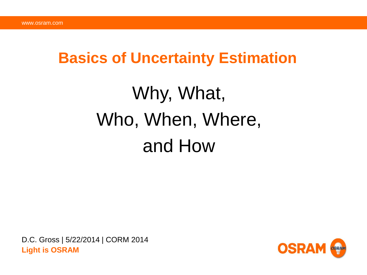### **Basics of Uncertainty Estimation**

# Why, What, Who, When, Where, and How

D.C. Gross | 5/22/2014 | CORM 2014 **Light is OSRAM**

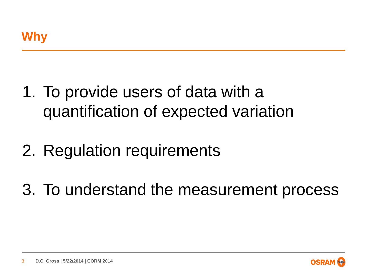- 1. To provide users of data with a quantification of expected variation
- 2. Regulation requirements
- 3. To understand the measurement process

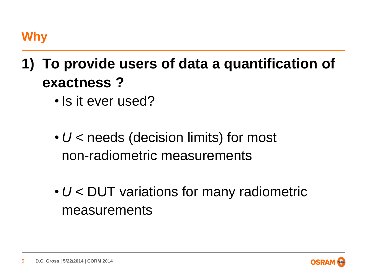# **1) To provide users of data a quantification of exactness ?**

- Is it ever used?
- *U* < needs (decision limits) for most non-radiometric measurements
- *U* < DUT variations for many radiometric measurements



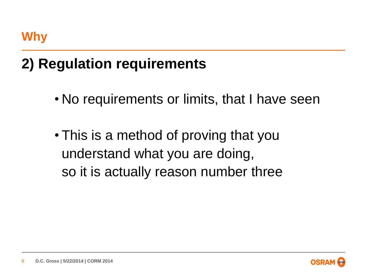### **2) Regulation requirements**

- No requirements or limits, that I have seen
- This is a method of proving that you understand what you are doing, so it is actually reason number three

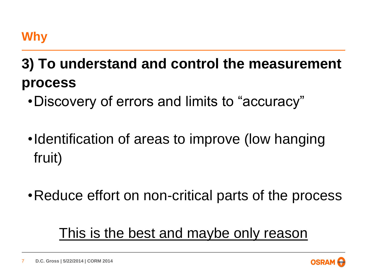### **Why**

# **3) To understand and control the measurement process**

- •Discovery of errors and limits to "accuracy"
- •Identification of areas to improve (low hanging fruit)
- •Reduce effort on non-critical parts of the process

### This is the best and maybe only reason

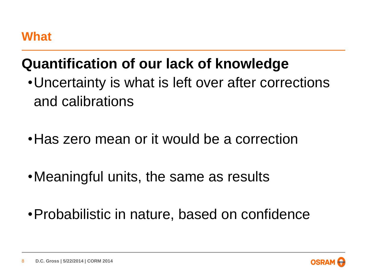### **What**

### **Quantification of our lack of knowledge**

- •Uncertainty is what is left over after corrections and calibrations
- •Has zero mean or it would be a correction
- •Meaningful units, the same as results
- •Probabilistic in nature, based on confidence

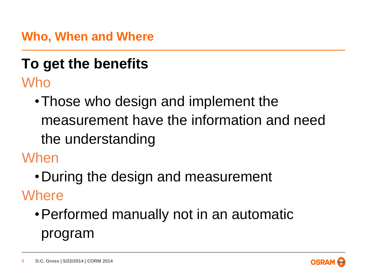**Who, When and Where**

### **To get the benefits**  Who

•Those who design and implement the measurement have the information and need the understanding

When

•During the design and measurement

**Where** 

•Performed manually not in an automatic program

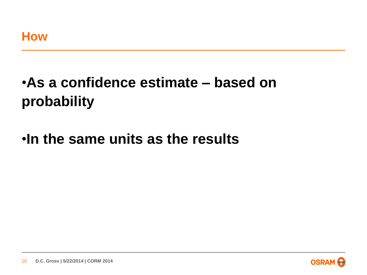# •**As a confidence estimate – based on probability**

### •**In the same units as the results**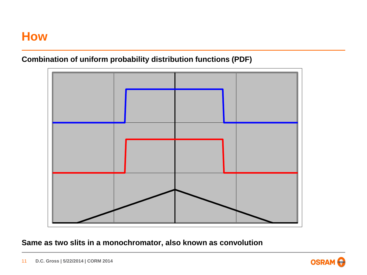#### **Combination of uniform probability distribution functions (PDF)**



**Same as two slits in a monochromator, also known as convolution**

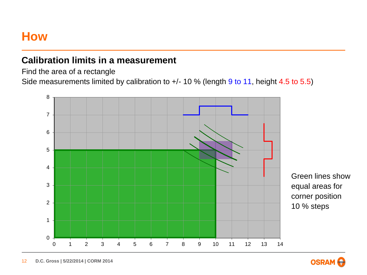#### **Calibration limits in a measurement**

Find the area of a rectangle

Side measurements limited by calibration to +/- 10 % (length 9 to 11, height 4.5 to 5.5)



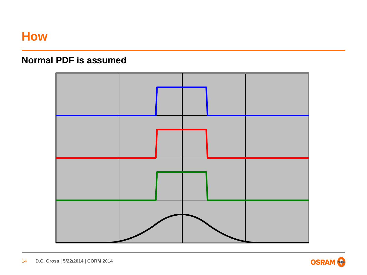#### **Normal PDF is assumed**

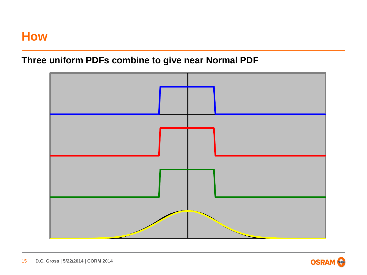#### **Three uniform PDFs combine to give near Normal PDF**



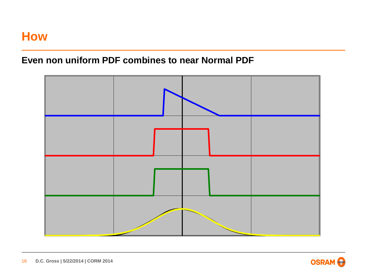#### **Even non uniform PDF combines to near Normal PDF**



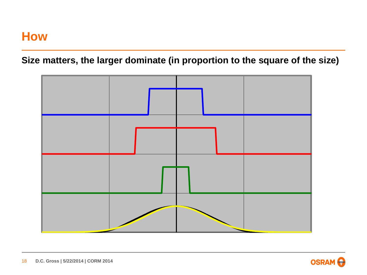**Size matters, the larger dominate (in proportion to the square of the size)**



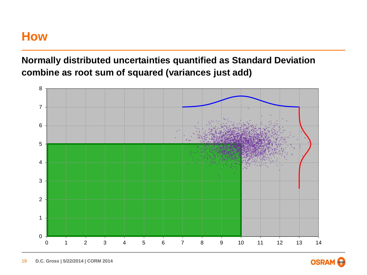**Normally distributed uncertainties quantified as Standard Deviation combine as root sum of squared (variances just add)**



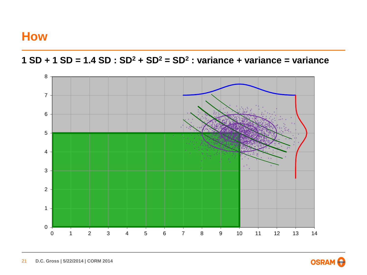



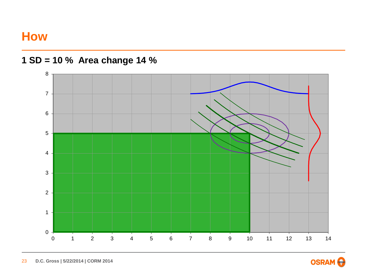



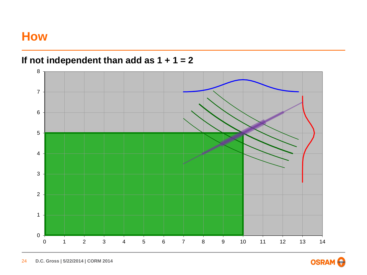**If not independent than add as 1 + 1 = 2**



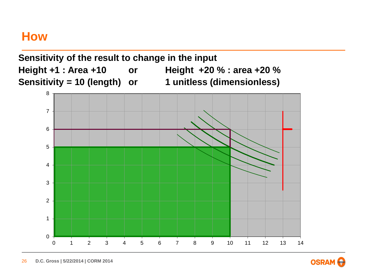

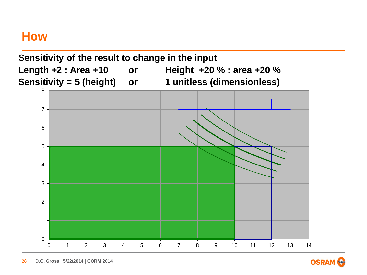

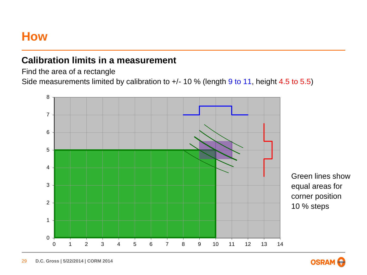#### **Calibration limits in a measurement**

Find the area of a rectangle

Side measurements limited by calibration to +/- 10 % (length 9 to 11, height 4.5 to 5.5)



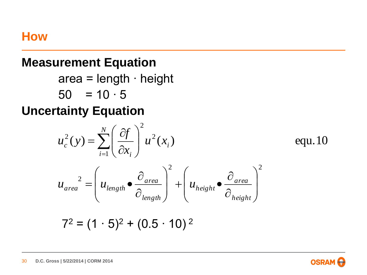#### **Measurement Equation**

area = length ∙ height

 $50 = 10 \cdot 5$ 

### **Uncertainty Equation**

$$
u_c^2(y) = \sum_{i=1}^N \left(\frac{\partial f}{\partial x_i}\right)^2 u^2(x_i)
$$
equ.10  

$$
u_{area}^2 = \left(u_{length} \bullet \frac{\partial_{area}}{\partial_{length}}\right)^2 + \left(u_{height} \bullet \frac{\partial_{area}}{\partial_{height}}\right)^2
$$
  
72 = (1 · 5)<sup>2</sup> + (0.5 · 10)<sup>2</sup>

**OSRA**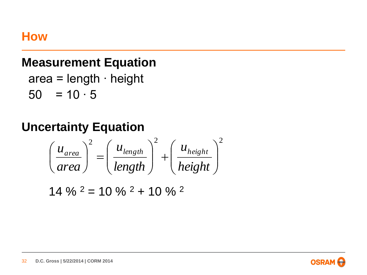#### **Measurement Equation**

 area = length ∙ height  $50 = 10 \cdot 5$ 

### **Uncertainty Equation**

$$
\left(\frac{u_{area}}{area}\right)^2 = \left(\frac{u_{length}}{length}\right)^2 + \left(\frac{u_{height}}{height}\right)^2
$$

 $14 \%$   $^{2} = 10 \%$   $^{2} + 10 \%$   $^{2}$ 

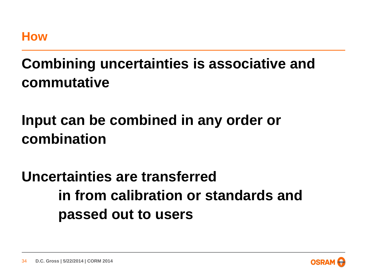### **Combining uncertainties is associative and commutative**

# **Input can be combined in any order or combination**

# **Uncertainties are transferred in from calibration or standards and passed out to users**

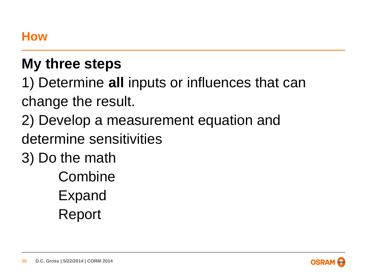### **My three steps**

1) Determine **all** inputs or influences that can change the result.

- 2) Develop a measurement equation and
- determine sensitivities
- 3) Do the math
	- **Combine** Expand
	- Report

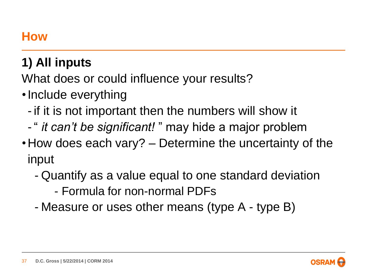### **1) All inputs**

What does or could influence your results?

- •Include everything
	- if it is not important then the numbers will show it
	- " *it can't be significant!* " may hide a major problem
- •How does each vary? Determine the uncertainty of the input
	- Quantify as a value equal to one standard deviation
		- Formula for non-normal PDFs
	- Measure or uses other means (type A type B)

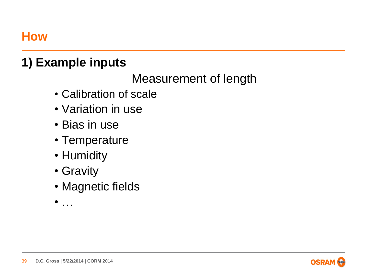### **1) Example inputs**

Measurement of length

- Calibration of scale
- Variation in use
- Bias in use
- Temperature
- Humidity
- Gravity
- Magnetic fields
- $\sim$  .



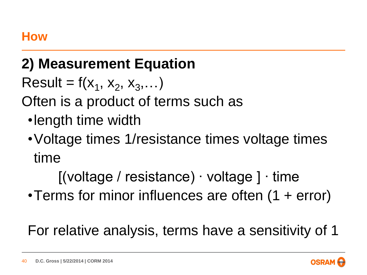### **2) Measurement Equation**

Result =  $f(x_1, x_2, x_3,...)$ 

Often is a product of terms such as

- •length time width
- •Voltage times 1/resistance times voltage times time

[(voltage / resistance) ∙ voltage ] ∙ time

•Terms for minor influences are often (1 + error)

For relative analysis, terms have a sensitivity of 1

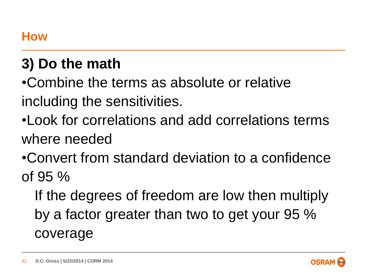## **3) Do the math**

•Combine the terms as absolute or relative including the sensitivities.

- •Look for correlations and add correlations terms where needed
- •Convert from standard deviation to a confidence of 95 %

If the degrees of freedom are low then multiply by a factor greater than two to get your 95 % coverage

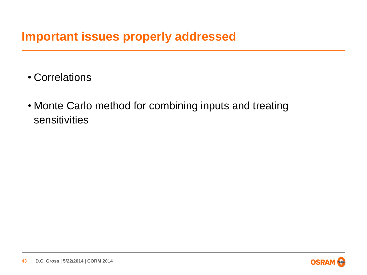#### **Important issues properly addressed**

- Correlations
- Monte Carlo method for combining inputs and treating sensitivities